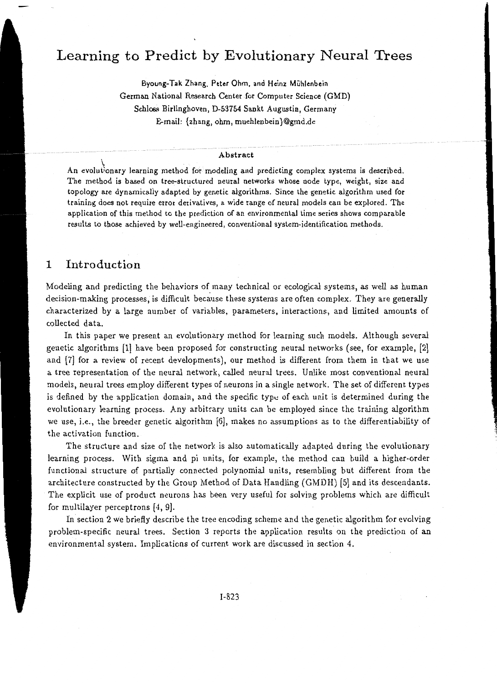# **Learning to Predict by Evolutionary Neural Trees**

Byoung-Tak Zhang, Peter Ohm, and Heinz Muhlenbein German National Research Center for Computer Science (GMD) Schloss Birlinghoven, D-53754 Sankt Augustin, Germany E-mail: {zhang, ohm, muehlenbein}@gmd.de

### Abstract

\<br>An evolut<sup>i</sup>onary learning method for modeling and predicting complex systems is described. The method is based on tree-structured neural networks whose node type, weight, size and topology are dynamically adapted by genetic algorithms. Since the genetic algorithm used for training does not require error derivatives, a wide range of neural models can be explored. The application of this method to the prediction of an environmental time series shows comparable results to those achieved by well-engineered, conventional system-identification methods.

## 1 Introduction

Modeling and predicting the behaviors of many technical or ecological systems, as well as human decision-making processes, is difficult because these systems are often complex. They are generally characterized by a large number of variables, parameters, interactions, and limited amounts of collected data.

In this paper we present an evolutionary method for learning such models. Although several genetic algorithms [1] have been proposed for constructing neural networks (see, for example, (2] and (7] for a review of recent developments), our method is different from them in that we use a tree representation of the neural network, called neural trees. Unlike most conventional neural models, neural trees employ different types of neurons in a single network. The set of different types is defined by the application domain, and the specific type of each unit is determined during the evolutionary learning process. Any arbitrary units can be employed since the training algorithm we use, i.e., the breeder genetic algorithm [6], makes no assumptions as to the differentiability of the activation function.

·•

The structure and size of the network is *also* automatically adapted during the evolutionary learning process. With sigma and pi units, for example, the method can build a higher-order functional structure of partially connected polynomial units, resembling but different from the architecture constructed by the Group Method of Data Handling (GMDH) [5] and its descendants. The explicit use of product neurons has been very useful for solving problems which are difficult for multilayer perceptrons [4, 9].

In section 2 we briefly describe the tree encoding scheme and the genetic algorithm for evolving problem-specific neural trees. Section 3 reports the application results on the prediction of an environmental system. Implications of current work are discussed in section 4.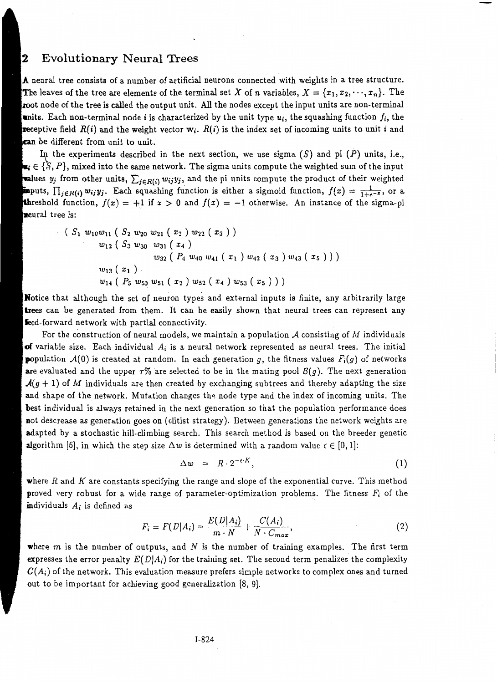#### $\overline{\mathbf{2}}$ Evolutionary Neural Trees

A neural tree consists of a number of artificial neurons connected with weights in a tree structure. The leaves of the tree are elements of the terminal set X of *n* variables,  $X = \{x_1, x_2, \dots, x_n\}$ . The root node of the tree is called the output unit. All the nodes except the input units are non-terminal units. Each non-terminal node *i* is characterized by the unit type  $u_i$ , the squashing function  $f_i$ , the **receptive field**  $R(i)$  **and the weight vector**  $w_i$ **.**  $R(i)$  is the index set of incoming units to unit i and be different from unit to unit.

In the experiments described in the next section, we use sigma  $(S)$  and pi  $(P)$  units, i.e.,  $\bullet_i \in \{\mathbb{S}, P\},$  mixed into the same network. The sigma units compute the weighted sum of the input **Values**  $y_j$  from other units,  $\sum_{j \in R(i)} w_{ij} y_j$ , and the pi units compute the product of their weighted **in**puts,  $\prod_{j\in R(i)} w_{ij}y_j$ . Each squashing function is either a sigmoid function,  $f(x) = \frac{1}{1+e^{-x}}$ , or a. **th**reshold function,  $f(x) = +1$  if  $x > 0$  and  $f(x) = -1$  otherwise. An instance of the sigma-pi neural tree is:

$$
(S_1 w_{10}w_{11} (S_2 w_{20} w_{21} (x_2) w_{22} (x_3))w_{12} (S_3 w_{30} w_{31} (x_4)w_{32} (P_4 w_{40} w_{41} (x_1) w_{42} (x_3) w_{43} (x_5)))w_{13} (x_1)w_{14} (P_5 w_{50} w_{51} (x_2) w_{52} (x_4) w_{53} (x_5)))
$$

**Notice that although the set of neuron types and external inputs is finite, any arbitrarily large** trees can be generated from them. It can be easily shown that neural trees can represent any feed-forward network with partial connectivity.

For the construction of neural models, we maintain a population  $A$  consisting of  $M$  individuals of variable size. Each individual *Ai* is a neural network represented as neural trees. The initial **population**  $\mathcal{A}(0)$  is created at random. In each generation g, the fitness values  $F_i(g)$  of networks are evaluated and the upper  $r\%$  are selected to be in the mating pool  $B(g)$ . The next generation  $\mathcal{A}(g + 1)$  of M individuals are then created by exchanging subtrees and thereby adapting the size and shape of the network. Mutation changes the node type and the index of incoming units. The best individual is always retained in the next generation so that the population performance does not descrease as generation goes on (elitist strategy). Between generations the network weights are adapted by a stochastic hill-climbing search. This search method is based on the breeder genetic **algorithm** [6], in which the step size  $\Delta w$  is determined with a random value  $\epsilon \in [0, 1]$ :

$$
\Delta w = R \cdot 2^{-\epsilon \cdot K}, \qquad (1)
$$

where R and K are constants specifying the range and slope of the exponential curve. This method proved very robust for a wide range of parameter-optimization problems. The fitness *Fi* of the individuals *Ai* is defined as

$$
F_i = F(D|A_i) = \frac{E(D|A_i)}{m \cdot N} + \frac{C(A_i)}{N \cdot C_{max}},
$$
\n(2)

where  $m$  is the number of outputs, and  $N$  is the number of training examples. The first term expresses the error penalty  $E(D|A_i)$  for the training set. The second term penalizes the complexity  $C(A_i)$  of the network. This evaluation measure prefers simple networks to complex ones and turned out to be important for achieving good generalization [8, 9].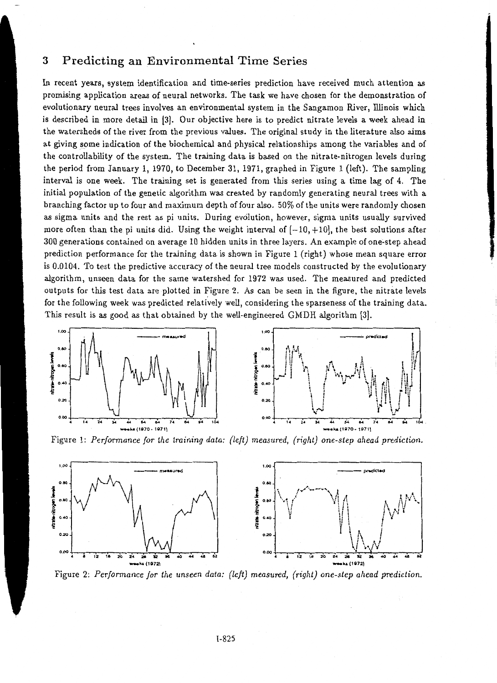### 3 Predicting an Environmental Time Series

In recent years, system identification and time-series prediction have received much attention as promising application areas of neural networks. The task we have chosen for the demonstration of evolutionary neural trees involves an environmental system in the Sangamon River, lllinois which is described in more detail in {3]. Our objective here is to predict nitrate levels a week ahead in the watersheds of the river from the previous values. The original study in the literature also aims at gjving some indication of the biochemical and physical relationships among the variables and of the controllability of the system. The training data is based on the nitrate-nitrogen levels during the period from January 1, 1970, to December 31, 1971, graphed in Figure 1 (left). The sampling interval is one week. The training set is generated from this series using a time lag of 4. The initial population of the genetic algorithm was created by randomly generating neural trees with a branching factor up to four and maximum depth of four also. 50% of the units were randomly chosen as sigma units and the rest as pi units. During evolution, however, sigma units usually survived more often than the pi units did. Using the weight interval of  $[-10, +10]$ , the best solutions after 300 generations contained on average 10 hidden units in three layers. An example of one~step ahead prediction performance for the training data is shown in Figure 1 (right) whose mean square error is 0.0104. To test the predictive accuracy of the neural tree models constructed by the evolutionary algorithm, unseen data for the same watershed for 1972 was used. The measured and predicted outputs for this test data are plotted in Figure 2. As can be seen in the figure, the nitrate levels for the following week was predicted relatively well, considering the sparseness of the training data. This result is as good as that obtained by the well-engineered GMDH algorithm {3].



Figure 1: *Performance for the training data: (left) measured, (right) one-step ahead prediction.* 



Figure 2: *Performance for the unseen data: (left) measured, (right) one-step ahead prediction.*